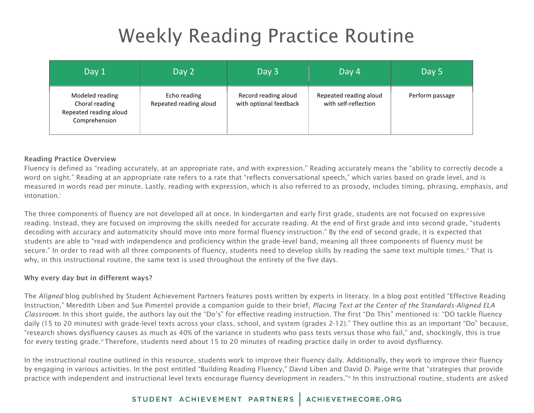# Weekly Reading Practice Routine

| Day 1                                                                        | Day 2                                  | Day 3                                          | Day 4                                          | Day 5           |
|------------------------------------------------------------------------------|----------------------------------------|------------------------------------------------|------------------------------------------------|-----------------|
| Modeled reading<br>Choral reading<br>Repeated reading aloud<br>Comprehension | Echo reading<br>Repeated reading aloud | Record reading aloud<br>with optional feedback | Repeated reading aloud<br>with self-reflection | Perform passage |

#### Reading Practice Overview

Fluency is defined as "reading accurately, at an appropriate rate, and with expression." Reading accurately means the "ability to correctly decode a word on sight." Reading at an appropriate rate refers to a rate that "reflects conversational speech," which varies based on grade level, and is measured in words read per minute. Lastly, reading with expression, which is also referred to as prosody, includes timing, phrasing, emphasis, and intonation.<sup>i</sup>

The three components of fluency are not developed all at once. In kindergarten and early first grade, students are not focused on expressive reading. Instead, they are focused on improving the skills needed for accurate reading. At the end of first grade and into second grade, "students decoding with accuracy and automaticity should move into more formal fluency instruction." By the end of second grade, it is expected that students are able to "read with independence and proficiency within the grade-level band, meaning all three components of fluency must be secure." In order to read with all three components of fluency, students need to develop skills by reading the same text multiple times." That is why, in this instructional routine, the same text is used throughout the entirety of the five days.

#### Why every day but in different ways?

The *Aligned* blog published by Student Achievement Partners features posts written by experts in literacy. In a blog post entitled "Effective Reading Instruction," Meredith Liben and Sue Pimentel provide a companion guide to their brief, *Placing Text at the Center of the Standards-Aligned ELA Classroom*. In this short guide, the authors lay out the "Do's" for effective reading instruction. The first "Do This" mentioned is: "DO tackle fluency daily (15 to 20 minutes) with grade-level texts across your class, school, and system (grades 2-12)." They outline this as an important "Do" because, "research shows dysfluency causes as much as 40% of the variance in students who pass tests versus those who fail," and, shockingly, this is true for every testing grade.<sup>iii</sup> Therefore, students need about 15 to 20 minutes of reading practice daily in order to avoid dysfluency.

In the instructional routine outlined in this resource, students work to improve their fluency daily. Additionally, they work to improve their fluency by engaging in various activities. In the post entitled "Building Reading Fluency," David Liben and David D. Paige write that "strategies that provide practice with independent and instructional level texts encourage fluency development in readers."<sup>Iv</sup> In this instructional routine, students are asked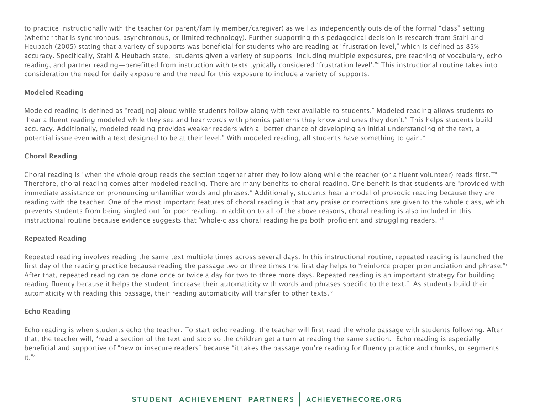to practice instructionally with the teacher (or parent/family member/caregiver) as well as independently outside of the formal "class" setting (whether that is synchronous, asynchronous, or limited technology). Further supporting this pedagogical decision is research from Stahl and Heubach (2005) stating that a variety of supports was beneficial for students who are reading at "frustration level," which is defined as 85% accuracy. Specifically, Stahl & Heubach state, "students given a variety of supports--including multiple exposures, pre-teaching of vocabulary, echo reading, and partner reading—benefitted from instruction with texts typically considered 'frustration level'." This instructional routine takes into consideration the need for daily exposure and the need for this exposure to include a variety of supports.

#### Modeled Reading

Modeled reading is defined as "read[ing] aloud while students follow along with text available to students." Modeled reading allows students to "hear a fluent reading modeled while they see and hear words with phonics patterns they know and ones they don't." This helps students build accuracy. Additionally, modeled reading provides weaker readers with a "better chance of developing an initial understanding of the text, a potential issue even with a text designed to be at their level." With modeled reading, all students have something to gain."

#### Choral Reading

Choral reading is "when the whole group reads the section together after they follow along while the teacher (or a fluent volunteer) reads first."<sup>vii</sup> Therefore, choral reading comes after modeled reading. There are many benefits to choral reading. One benefit is that students are "provided with immediate assistance on pronouncing unfamiliar words and phrases." Additionally, students hear a model of prosodic reading because they are reading with the teacher. One of the most important features of choral reading is that any praise or corrections are given to the whole class, which prevents students from being singled out for poor reading. In addition to all of the above reasons, choral reading is also included in this instructional routine because evidence suggests that "whole-class choral reading helps both proficient and struggling readers."viii

#### Repeated Reading

Repeated reading involves reading the same text multiple times across several days. In this instructional routine, repeated reading is launched the first day of the reading practice because reading the passage two or three times the first day helps to "reinforce proper pronunciation and phrase."<sup>3</sup> After that, repeated reading can be done once or twice a day for two to three more days. Repeated reading is an important strategy for building reading fluency because it helps the student "increase their automaticity with words and phrases specific to the text." As students build their automaticity with reading this passage, their reading automaticity will transfer to other texts.<sup>ix</sup>

#### Echo Reading

Echo reading is when students echo the teacher. To start echo reading, the teacher will first read the whole passage with students following. After that, the teacher will, "read a section of the text and stop so the children get a turn at reading the same section." Echo reading is especially beneficial and supportive of "new or insecure readers" because "it takes the passage you're reading for fluency practice and chunks, or segments it."x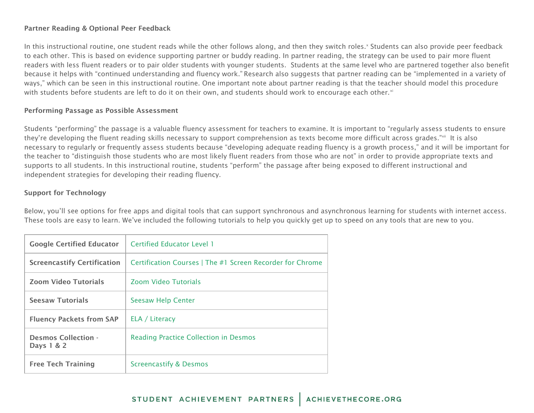#### Partner Reading & Optional Peer Feedback

In this instructional routine, one student reads while the other follows along, and then they switch roles.<sup>x</sup> Students can also provide peer feedback to each other. This is based on evidence supporting partner or buddy reading. In partner reading, the strategy can be used to pair more fluent readers with less fluent readers or to pair older students with younger students. Students at the same level who are partnered together also benefit because it helps with "continued understanding and fluency work." Research also suggests that partner reading can be "implemented in a variety of ways," which can be seen in this instructional routine. One important note about partner reading is that the teacher should model this procedure with students before students are left to do it on their own, and students should work to encourage each other.<sup>xi</sup>

#### Performing Passage as Possible Assessment

Students "performing" the passage is a valuable fluency assessment for teachers to examine. It is important to "regularly assess students to ensure they're developing the fluent reading skills necessary to support comprehension as texts become more difficult across grades."\*" It is also necessary to regularly or frequently assess students because "developing adequate reading fluency is a growth process," and it will be important for the teacher to "distinguish those students who are most likely fluent readers from those who are not" in order to provide appropriate texts and supports to all students. In this instructional routine, students "perform" the passage after being exposed to different instructional and independent strategies for developing their reading fluency.

#### Support for Technology

Below, you'll see options for free apps and digital tools that can support synchronous and asynchronous learning for students with internet access. These tools are easy to learn. We've included the following tutorials to help you quickly get up to speed on any tools that are new to you.

| <b>Google Certified Educator</b>         | <b>Certified Educator Level 1</b>                         |
|------------------------------------------|-----------------------------------------------------------|
| <b>Screencastify Certification</b>       | Certification Courses   The #1 Screen Recorder for Chrome |
| <b>Zoom Video Tutorials</b>              | <b>Zoom Video Tutorials</b>                               |
| <b>Seesaw Tutorials</b>                  | <b>Seesaw Help Center</b>                                 |
| <b>Fluency Packets from SAP</b>          | ELA / Literacy                                            |
| <b>Desmos Collection -</b><br>Days 1 & 2 | <b>Reading Practice Collection in Desmos</b>              |
| <b>Free Tech Training</b>                | <b>Screencastify &amp; Desmos</b>                         |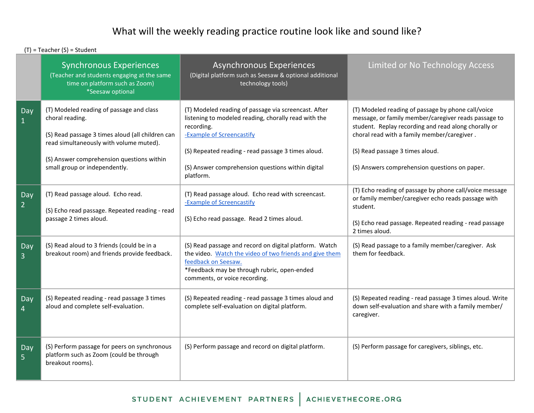## What will the weekly reading practice routine look like and sound like?

(T) = Teacher (S) = Student

|                       | <b>Synchronous Experiences</b><br>(Teacher and students engaging at the same<br>time on platform such as Zoom)<br>*Seesaw optional                                                                                                       | <b>Asynchronous Experiences</b><br>(Digital platform such as Seesaw & optional additional<br>technology tools)                                                                                                                                                                  | Limited or No Technology Access                                                                                                                                                                                                                                                                       |
|-----------------------|------------------------------------------------------------------------------------------------------------------------------------------------------------------------------------------------------------------------------------------|---------------------------------------------------------------------------------------------------------------------------------------------------------------------------------------------------------------------------------------------------------------------------------|-------------------------------------------------------------------------------------------------------------------------------------------------------------------------------------------------------------------------------------------------------------------------------------------------------|
| Day                   | (T) Modeled reading of passage and class<br>choral reading.<br>(S) Read passage 3 times aloud (all children can<br>read simultaneously with volume muted).<br>(S) Answer comprehension questions within<br>small group or independently. | (T) Modeled reading of passage via screencast. After<br>listening to modeled reading, chorally read with the<br>recording.<br>-Example of Screencastify<br>(S) Repeated reading - read passage 3 times aloud.<br>(S) Answer comprehension questions within digital<br>platform. | (T) Modeled reading of passage by phone call/voice<br>message, or family member/caregiver reads passage to<br>student. Replay recording and read along chorally or<br>choral read with a family member/caregiver.<br>(S) Read passage 3 times aloud.<br>(S) Answers comprehension questions on paper. |
| Day<br>$\overline{2}$ | (T) Read passage aloud. Echo read.<br>(S) Echo read passage. Repeated reading - read<br>passage 2 times aloud.                                                                                                                           | (T) Read passage aloud. Echo read with screencast.<br>-Example of Screencastify<br>(S) Echo read passage. Read 2 times aloud.                                                                                                                                                   | (T) Echo reading of passage by phone call/voice message<br>or family member/caregiver echo reads passage with<br>student.<br>(S) Echo read passage. Repeated reading - read passage<br>2 times aloud.                                                                                                 |
| Day<br>3              | (S) Read aloud to 3 friends (could be in a<br>breakout room) and friends provide feedback.                                                                                                                                               | (S) Read passage and record on digital platform. Watch<br>the video. Watch the video of two friends and give them<br>feedback on Seesaw.<br>*Feedback may be through rubric, open-ended<br>comments, or voice recording.                                                        | (S) Read passage to a family member/caregiver. Ask<br>them for feedback.                                                                                                                                                                                                                              |
| Day<br>4              | (S) Repeated reading - read passage 3 times<br>aloud and complete self-evaluation.                                                                                                                                                       | (S) Repeated reading - read passage 3 times aloud and<br>complete self-evaluation on digital platform.                                                                                                                                                                          | (S) Repeated reading - read passage 3 times aloud. Write<br>down self-evaluation and share with a family member/<br>caregiver.                                                                                                                                                                        |
| Day<br>5              | (S) Perform passage for peers on synchronous<br>platform such as Zoom (could be through<br>breakout rooms).                                                                                                                              | (S) Perform passage and record on digital platform.                                                                                                                                                                                                                             | (S) Perform passage for caregivers, siblings, etc.                                                                                                                                                                                                                                                    |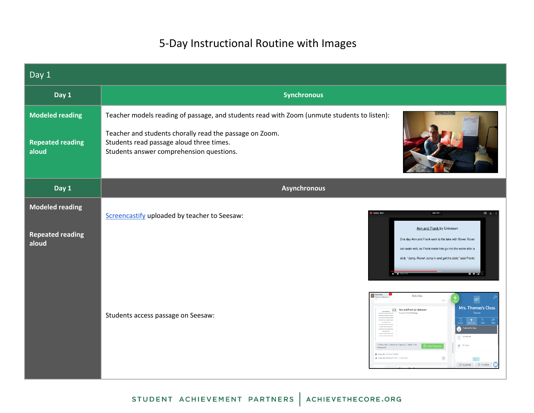## 5-Day Instructional Routine with Images

| Day 1                                                      |                                                                                                                                                                                                                                                                                                                                                                                             |
|------------------------------------------------------------|---------------------------------------------------------------------------------------------------------------------------------------------------------------------------------------------------------------------------------------------------------------------------------------------------------------------------------------------------------------------------------------------|
| Day 1                                                      | <b>Synchronous</b>                                                                                                                                                                                                                                                                                                                                                                          |
| <b>Modeled reading</b><br><b>Repeated reading</b><br>aloud | Teacher models reading of passage, and students read with Zoom (unmute students to listen):<br>Teacher and students chorally read the passage on Zoom.<br>Students read passage aloud three times.<br>Students answer comprehension questions.                                                                                                                                              |
| Day 1                                                      | <b>Asynchronous</b>                                                                                                                                                                                                                                                                                                                                                                         |
| <b>Modeled reading</b><br><b>Repeated reading</b><br>aloud | Openwith -<br>国土<br>Screencastify uploaded by teacher to Seesaw:<br>Ann and Frank by Unknown<br>One day Ann and Frank went to the lake with Rover. Rover<br>can swim well, so Frank made him go into the water after a<br>stick. "Jump, Rover! Jump in and get the stick," said Frank;<br><b>MEGET &amp;</b><br><b>Part</b><br>Katie Key<br>Activities<br><b>MT</b>                         |
|                                                            | Mrs. Thomas's Class<br>1/2 Ann and Frank by Unknown<br>Fluency Week 1 Fessac<br>Teacher<br>Students access passage on Seesaw:<br>gnedito Clas<br><sup>Scheduled</sup><br>0 Responses, C Waiting for Approval, O Drafts, 6 Not<br>$\mathbf{a}$ Activity<br>Add Respo<br>图 Assigned on Mar 28 at 10:34 Af<br>Austracet to A ES based to A Mrs. 1<br>$\ominus$ Students $\oplus$ Families<br>O |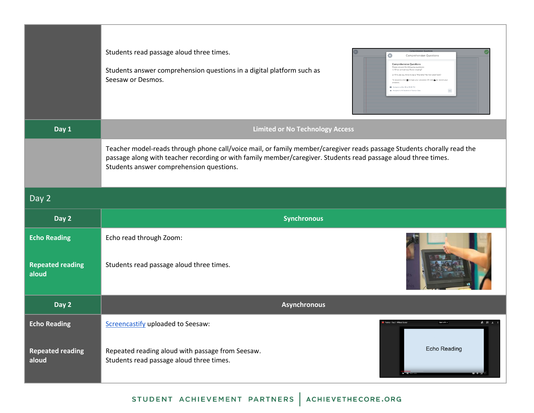|                                  | Students read passage aloud three times.<br>Students answer comprehension questions in a digital platform such as<br>Seesaw or Desmos.                                                                                                                                               | Comprehension Questions<br><b>Comprehension Questions</b><br>Please answer the following questic<br>1) What animal was Rover chasing?<br>Why do you think it was a "fine time" for Ann and Frank?<br>To respond, click [11] to type your answers OR click is to record you<br>图 Assigned on Mar 28 at 05:06 PM<br>$\cdots$<br><b>B.</b> Assigned to All Students in Fluency |
|----------------------------------|--------------------------------------------------------------------------------------------------------------------------------------------------------------------------------------------------------------------------------------------------------------------------------------|-----------------------------------------------------------------------------------------------------------------------------------------------------------------------------------------------------------------------------------------------------------------------------------------------------------------------------------------------------------------------------|
| Day 1                            |                                                                                                                                                                                                                                                                                      | <b>Limited or No Technology Access</b>                                                                                                                                                                                                                                                                                                                                      |
|                                  | Teacher model-reads through phone call/voice mail, or family member/caregiver reads passage Students chorally read the<br>passage along with teacher recording or with family member/caregiver. Students read passage aloud three times.<br>Students answer comprehension questions. |                                                                                                                                                                                                                                                                                                                                                                             |
| Day 2                            |                                                                                                                                                                                                                                                                                      |                                                                                                                                                                                                                                                                                                                                                                             |
| Day 2                            |                                                                                                                                                                                                                                                                                      | <b>Synchronous</b>                                                                                                                                                                                                                                                                                                                                                          |
| <b>Echo Reading</b>              | Echo read through Zoom:                                                                                                                                                                                                                                                              |                                                                                                                                                                                                                                                                                                                                                                             |
| <b>Repeated reading</b><br>aloud | Students read passage aloud three times.                                                                                                                                                                                                                                             |                                                                                                                                                                                                                                                                                                                                                                             |
| Day 2                            |                                                                                                                                                                                                                                                                                      | <b>Asynchronous</b>                                                                                                                                                                                                                                                                                                                                                         |
| <b>Echo Reading</b>              | Screencastify uploaded to Seesaw:                                                                                                                                                                                                                                                    | & 田 ±<br>Tuency - Day 2 - Without Curric<br>Open with                                                                                                                                                                                                                                                                                                                       |
| <b>Repeated reading</b><br>aloud | Repeated reading aloud with passage from Seesaw.<br>Students read passage aloud three times.                                                                                                                                                                                         | Echo Reading                                                                                                                                                                                                                                                                                                                                                                |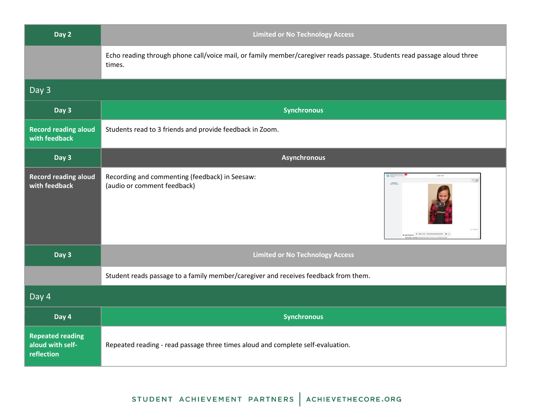| Day 2                                                     | <b>Limited or No Technology Access</b>                                                                                                                                                                                                                                                                        |  |
|-----------------------------------------------------------|---------------------------------------------------------------------------------------------------------------------------------------------------------------------------------------------------------------------------------------------------------------------------------------------------------------|--|
|                                                           | Echo reading through phone call/voice mail, or family member/caregiver reads passage. Students read passage aloud three<br>times.                                                                                                                                                                             |  |
| Day 3                                                     |                                                                                                                                                                                                                                                                                                               |  |
| Day 3                                                     | <b>Synchronous</b>                                                                                                                                                                                                                                                                                            |  |
| <b>Record reading aloud</b><br>with feedback              | Students read to 3 friends and provide feedback in Zoom.                                                                                                                                                                                                                                                      |  |
| Day 3                                                     | <b>Asynchronous</b>                                                                                                                                                                                                                                                                                           |  |
| <b>Record reading aloud</b><br>with feedback              | Recording and commenting (feedback) in Seesaw:<br>目開<br>(audio or comment feedback)<br>$\begin{array}{rcl} \bullet\hspace{-6pt} & \bullet\hspace{-6pt} & \bullet\hspace{-6pt} & \bullet\hspace{-6pt} & \bullet\hspace{-6pt} & \bullet\hspace{-6pt} & \bullet\hspace{-6pt} & \bullet\hspace{-6pt} \end{array}$ |  |
| Day 3                                                     | <b>Limited or No Technology Access</b>                                                                                                                                                                                                                                                                        |  |
|                                                           | Student reads passage to a family member/caregiver and receives feedback from them.                                                                                                                                                                                                                           |  |
| Day 4                                                     |                                                                                                                                                                                                                                                                                                               |  |
| Day 4                                                     | <b>Synchronous</b>                                                                                                                                                                                                                                                                                            |  |
| <b>Repeated reading</b><br>aloud with self-<br>reflection | Repeated reading - read passage three times aloud and complete self-evaluation.                                                                                                                                                                                                                               |  |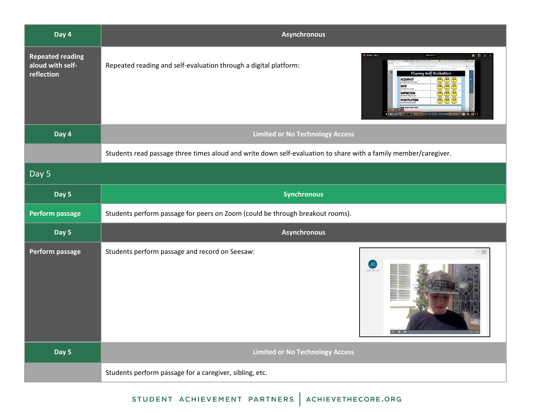| Day 4                                                     | <b>Asynchronous</b>                                                                                                                                                                                                                                                                                                   |
|-----------------------------------------------------------|-----------------------------------------------------------------------------------------------------------------------------------------------------------------------------------------------------------------------------------------------------------------------------------------------------------------------|
| <b>Repeated reading</b><br>aloud with self-<br>reflection | Ruency - Day 4<br>▲ 田 土<br>Open eith +<br>Repeated reading and self-evaluation through a digital platform:<br>Fluency Self Evaluation<br>ACCURACY<br>RATE<br>$\bullet$<br>$\mathbf{m}$ $\mathbf{m}$<br>EXPRESSION<br>PUNCTUATION<br>$\left( \bullet \right) \left( \bullet \right) \left( \bullet \right)$<br>■ ● 国 出 |
| Day 4                                                     | <b>Limited or No Technology Access</b>                                                                                                                                                                                                                                                                                |
|                                                           | Students read passage three times aloud and write down self-evaluation to share with a family member/caregiver.                                                                                                                                                                                                       |
| Day 5                                                     |                                                                                                                                                                                                                                                                                                                       |
| Day 5                                                     | <b>Synchronous</b>                                                                                                                                                                                                                                                                                                    |
| Perform passage                                           | Students perform passage for peers on Zoom (could be through breakout rooms).                                                                                                                                                                                                                                         |
| Day 5                                                     | <b>Asynchronous</b>                                                                                                                                                                                                                                                                                                   |
| Perform passage                                           | Students perform passage and record on Seesaw:<br>$\equiv$<br>$\bigcup$ G<br>lody Guarino<br>$\langle\sin\theta\rangle/\Omega$ .                                                                                                                                                                                      |
| Day 5                                                     | <b>Limited or No Technology Access</b>                                                                                                                                                                                                                                                                                |
|                                                           | Students perform passage for a caregiver, sibling, etc.                                                                                                                                                                                                                                                               |